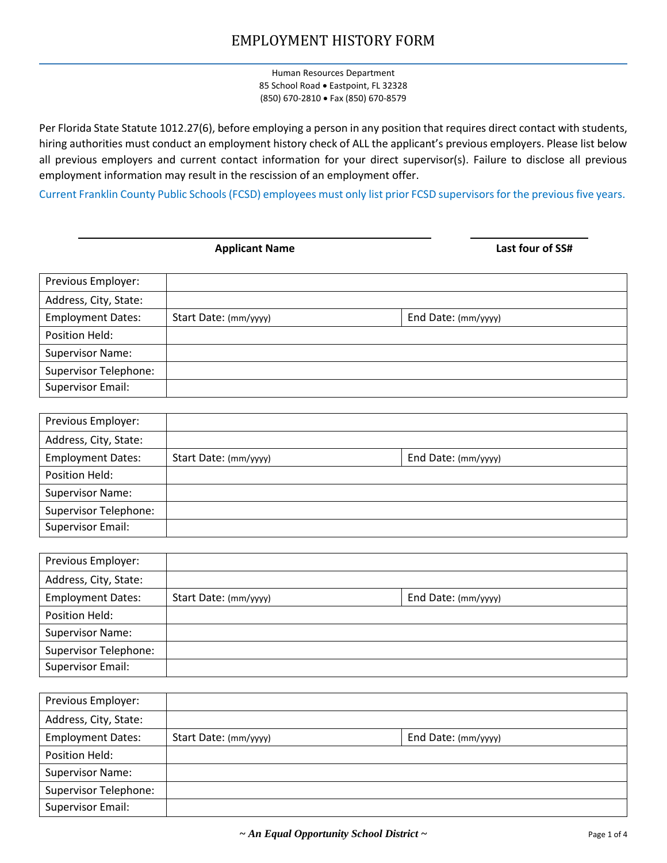Human Resources Department 85 School Road • Eastpoint, FL 32328 (850) 670-2810 • Fax (850) 670-8579

Per Florida State Statute 1012.27(6), before employing a person in any position that requires direct contact with students, hiring authorities must conduct an employment history check of ALL the applicant's previous employers. Please list below all previous employers and current contact information for your direct supervisor(s). Failure to disclose all previous employment information may result in the rescission of an employment offer.

Current Franklin County Public Schools (FCSD) employees must only list prior FCSD supervisors for the previous five years.

|  | pplicant Naı |  |  |  |
|--|--------------|--|--|--|
|  |              |  |  |  |

Address:

Address:

**Applicant Name Last four of SS#**

| Previous Employer:           |                       |                     |  |
|------------------------------|-----------------------|---------------------|--|
| Address, City, State:        |                       |                     |  |
| <b>Employment Dates:</b>     | Start Date: (mm/yyyy) | End Date: (mm/yyyy) |  |
| Position Held:               |                       |                     |  |
| <b>Supervisor Name:</b>      |                       |                     |  |
| <b>Supervisor Telephone:</b> |                       |                     |  |
| Supervisor Email:            |                       |                     |  |
|                              |                       |                     |  |

| Previous Employer:           |                       |                     |  |
|------------------------------|-----------------------|---------------------|--|
| Address, City, State:        |                       |                     |  |
| <b>Employment Dates:</b>     | Start Date: (mm/yyyy) | End Date: (mm/yyyy) |  |
| Position Held:               |                       |                     |  |
| <b>Supervisor Name:</b>      |                       |                     |  |
| <b>Supervisor Telephone:</b> |                       |                     |  |
| Supervisor Email:            |                       |                     |  |
|                              |                       |                     |  |

| Previous Employer:           |                       |                     |  |
|------------------------------|-----------------------|---------------------|--|
| Address, City, State:        |                       |                     |  |
| <b>Employment Dates:</b>     | Start Date: (mm/yyyy) | End Date: (mm/yyyy) |  |
| Position Held:               |                       |                     |  |
| <b>Supervisor Name:</b>      |                       |                     |  |
| <b>Supervisor Telephone:</b> |                       |                     |  |
| Supervisor Email:            |                       |                     |  |

| Previous Employer:           |                       |                     |  |
|------------------------------|-----------------------|---------------------|--|
| Address, City, State:        |                       |                     |  |
| <b>Employment Dates:</b>     | Start Date: (mm/yyyy) | End Date: (mm/yyyy) |  |
| Position Held:               |                       |                     |  |
| <b>Supervisor Name:</b>      |                       |                     |  |
| <b>Supervisor Telephone:</b> |                       |                     |  |
| Supervisor Email:            |                       |                     |  |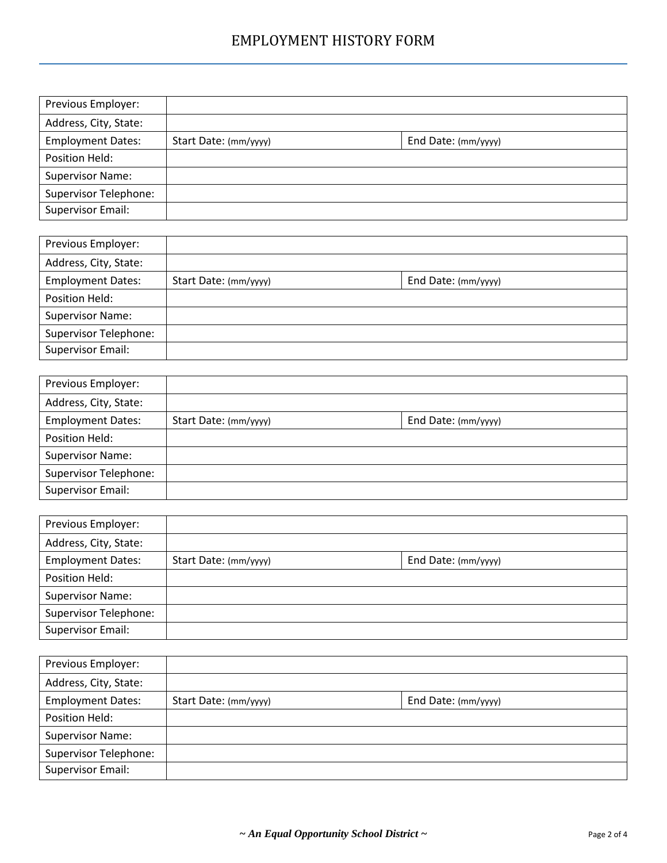| Previous Employer:           |                       |                     |  |
|------------------------------|-----------------------|---------------------|--|
| Address, City, State:        |                       |                     |  |
| <b>Employment Dates:</b>     | Start Date: (mm/yyyy) | End Date: (mm/yyyy) |  |
| Position Held:               |                       |                     |  |
| <b>Supervisor Name:</b>      |                       |                     |  |
| <b>Supervisor Telephone:</b> |                       |                     |  |
| <b>Supervisor Email:</b>     |                       |                     |  |

| Previous Employer:           |                       |                     |  |
|------------------------------|-----------------------|---------------------|--|
| Address, City, State:        |                       |                     |  |
| <b>Employment Dates:</b>     | Start Date: (mm/yyyy) | End Date: (mm/yyyy) |  |
| Position Held:               |                       |                     |  |
| <b>Supervisor Name:</b>      |                       |                     |  |
| <b>Supervisor Telephone:</b> |                       |                     |  |
| Supervisor Email:            |                       |                     |  |
|                              |                       |                     |  |

| Previous Employer:           |                       |                     |  |
|------------------------------|-----------------------|---------------------|--|
| Address, City, State:        |                       |                     |  |
| <b>Employment Dates:</b>     | Start Date: (mm/yyyy) | End Date: (mm/yyyy) |  |
| Position Held:               |                       |                     |  |
| <b>Supervisor Name:</b>      |                       |                     |  |
| <b>Supervisor Telephone:</b> |                       |                     |  |
| Supervisor Email:            |                       |                     |  |
|                              |                       |                     |  |

| Previous Employer:           |                       |                     |  |
|------------------------------|-----------------------|---------------------|--|
| Address, City, State:        |                       |                     |  |
| <b>Employment Dates:</b>     | Start Date: (mm/yyyy) | End Date: (mm/yyyy) |  |
| Position Held:               |                       |                     |  |
| <b>Supervisor Name:</b>      |                       |                     |  |
| <b>Supervisor Telephone:</b> |                       |                     |  |
| Supervisor Email:            |                       |                     |  |

Address:

| Previous Employer:           |                       |                     |  |
|------------------------------|-----------------------|---------------------|--|
| Address, City, State:        |                       |                     |  |
| <b>Employment Dates:</b>     | Start Date: (mm/yyyy) | End Date: (mm/yyyy) |  |
| Position Held:               |                       |                     |  |
| <b>Supervisor Name:</b>      |                       |                     |  |
| <b>Supervisor Telephone:</b> |                       |                     |  |
| Supervisor Email:            |                       |                     |  |
|                              |                       |                     |  |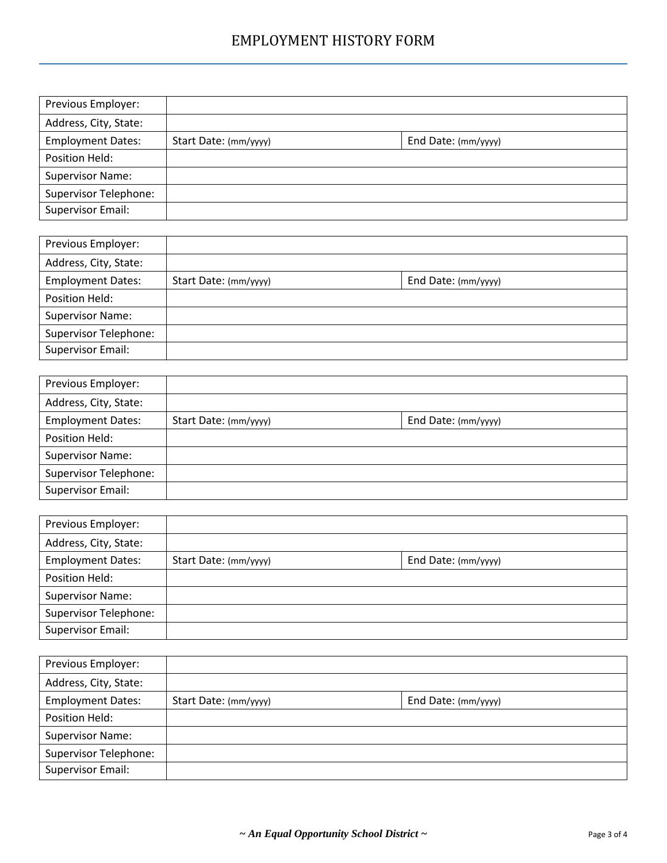| Previous Employer:           |                       |                     |  |
|------------------------------|-----------------------|---------------------|--|
| Address, City, State:        |                       |                     |  |
| <b>Employment Dates:</b>     | Start Date: (mm/yyyy) | End Date: (mm/yyyy) |  |
| Position Held:               |                       |                     |  |
| <b>Supervisor Name:</b>      |                       |                     |  |
| <b>Supervisor Telephone:</b> |                       |                     |  |
| <b>Supervisor Email:</b>     |                       |                     |  |

| Previous Employer:           |                       |                     |  |
|------------------------------|-----------------------|---------------------|--|
| Address, City, State:        |                       |                     |  |
| <b>Employment Dates:</b>     | Start Date: (mm/yyyy) | End Date: (mm/yyyy) |  |
| Position Held:               |                       |                     |  |
| <b>Supervisor Name:</b>      |                       |                     |  |
| <b>Supervisor Telephone:</b> |                       |                     |  |
| Supervisor Email:            |                       |                     |  |
|                              |                       |                     |  |

| Previous Employer:           |                       |                     |  |
|------------------------------|-----------------------|---------------------|--|
| Address, City, State:        |                       |                     |  |
| <b>Employment Dates:</b>     | Start Date: (mm/yyyy) | End Date: (mm/yyyy) |  |
| Position Held:               |                       |                     |  |
| <b>Supervisor Name:</b>      |                       |                     |  |
| <b>Supervisor Telephone:</b> |                       |                     |  |
| Supervisor Email:            |                       |                     |  |
|                              |                       |                     |  |

| Previous Employer:           |                       |                     |  |
|------------------------------|-----------------------|---------------------|--|
| Address, City, State:        |                       |                     |  |
| <b>Employment Dates:</b>     | Start Date: (mm/yyyy) | End Date: (mm/yyyy) |  |
| Position Held:               |                       |                     |  |
| <b>Supervisor Name:</b>      |                       |                     |  |
| <b>Supervisor Telephone:</b> |                       |                     |  |
| Supervisor Email:            |                       |                     |  |

Address:

| Previous Employer:           |                       |                     |  |
|------------------------------|-----------------------|---------------------|--|
| Address, City, State:        |                       |                     |  |
| <b>Employment Dates:</b>     | Start Date: (mm/yyyy) | End Date: (mm/yyyy) |  |
| Position Held:               |                       |                     |  |
| <b>Supervisor Name:</b>      |                       |                     |  |
| <b>Supervisor Telephone:</b> |                       |                     |  |
| <b>Supervisor Email:</b>     |                       |                     |  |
|                              |                       |                     |  |